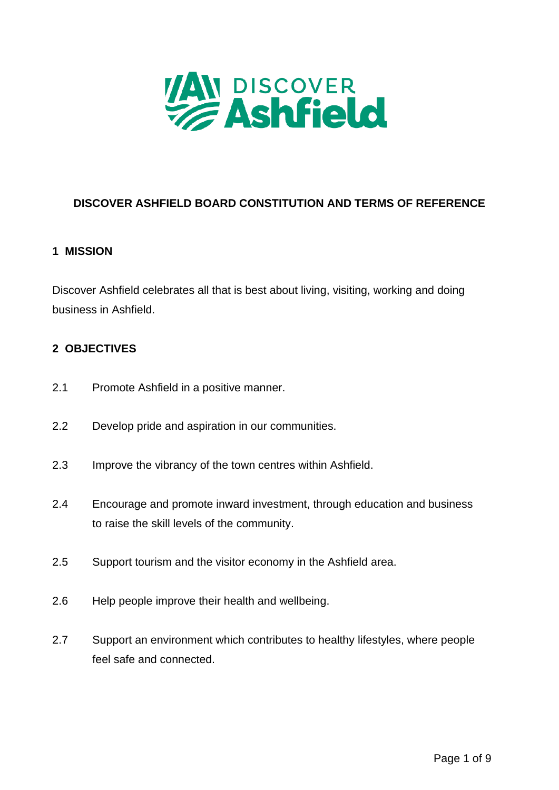

# **DISCOVER ASHFIELD BOARD CONSTITUTION AND TERMS OF REFERENCE**

#### **1 MISSION**

Discover Ashfield celebrates all that is best about living, visiting, working and doing business in Ashfield.

#### **2 OBJECTIVES**

- 2.1 Promote Ashfield in a positive manner.
- 2.2 Develop pride and aspiration in our communities.
- 2.3 Improve the vibrancy of the town centres within Ashfield.
- 2.4 Encourage and promote inward investment, through education and business to raise the skill levels of the community.
- 2.5 Support tourism and the visitor economy in the Ashfield area.
- 2.6 Help people improve their health and wellbeing.
- 2.7 Support an environment which contributes to healthy lifestyles, where people feel safe and connected.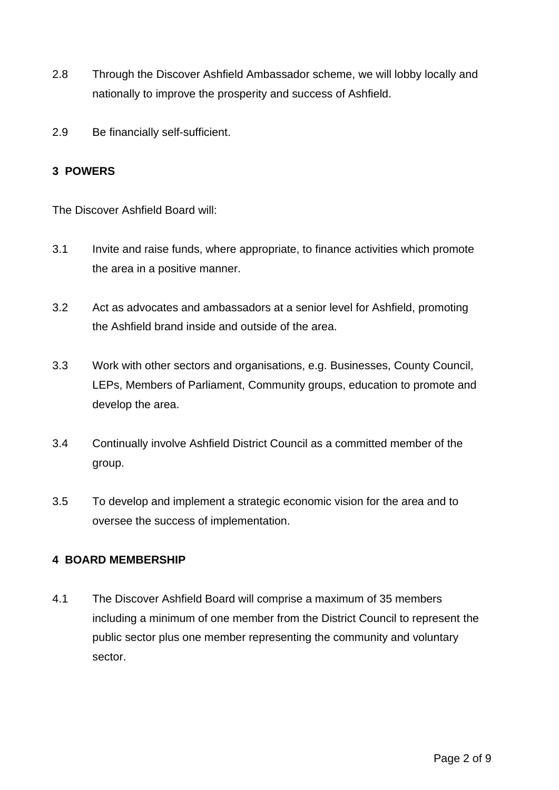- 2.8 Through the Discover Ashfield Ambassador scheme, we will lobby locally and nationally to improve the prosperity and success of Ashfield.
- 2.9 Be financially self-sufficient.

#### **3 POWERS**

The Discover Ashfield Board will:

- 3.1 Invite and raise funds, where appropriate, to finance activities which promote the area in a positive manner.
- 3.2 Act as advocates and ambassadors at a senior level for Ashfield, promoting the Ashfield brand inside and outside of the area.
- 3.3 Work with other sectors and organisations, e.g. Businesses, County Council, LEPs, Members of Parliament, Community groups, education to promote and develop the area.
- 3.4 Continually involve Ashfield District Council as a committed member of the group.
- 3.5 To develop and implement a strategic economic vision for the area and to oversee the success of implementation.

### **4 BOARD MEMBERSHIP**

4.1 The Discover Ashfield Board will comprise a maximum of 35 members including a minimum of one member from the District Council to represent the public sector plus one member representing the community and voluntary sector.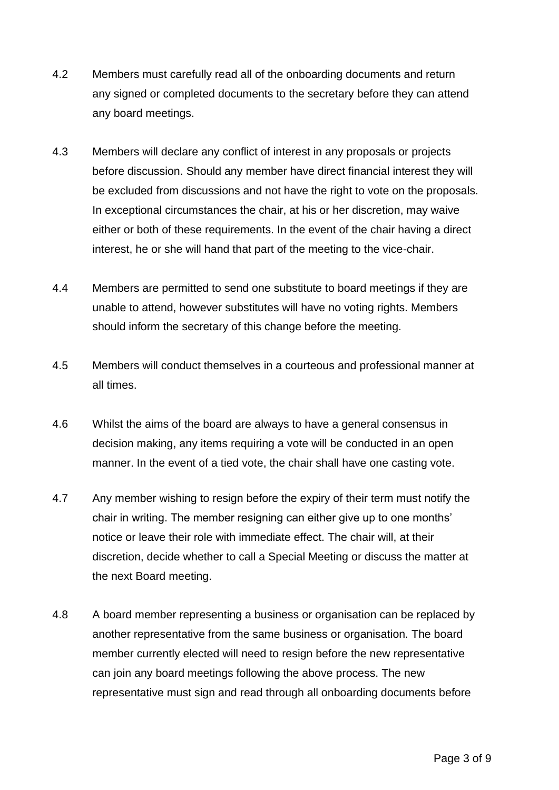- 4.2 Members must carefully read all of the onboarding documents and return any signed or completed documents to the secretary before they can attend any board meetings.
- 4.3 Members will declare any conflict of interest in any proposals or projects before discussion. Should any member have direct financial interest they will be excluded from discussions and not have the right to vote on the proposals. In exceptional circumstances the chair, at his or her discretion, may waive either or both of these requirements. In the event of the chair having a direct interest, he or she will hand that part of the meeting to the vice-chair.
- 4.4 Members are permitted to send one substitute to board meetings if they are unable to attend, however substitutes will have no voting rights. Members should inform the secretary of this change before the meeting.
- 4.5 Members will conduct themselves in a courteous and professional manner at all times.
- 4.6 Whilst the aims of the board are always to have a general consensus in decision making, any items requiring a vote will be conducted in an open manner. In the event of a tied vote, the chair shall have one casting vote.
- 4.7 Any member wishing to resign before the expiry of their term must notify the chair in writing. The member resigning can either give up to one months' notice or leave their role with immediate effect. The chair will, at their discretion, decide whether to call a Special Meeting or discuss the matter at the next Board meeting.
- 4.8 A board member representing a business or organisation can be replaced by another representative from the same business or organisation. The board member currently elected will need to resign before the new representative can join any board meetings following the above process. The new representative must sign and read through all onboarding documents before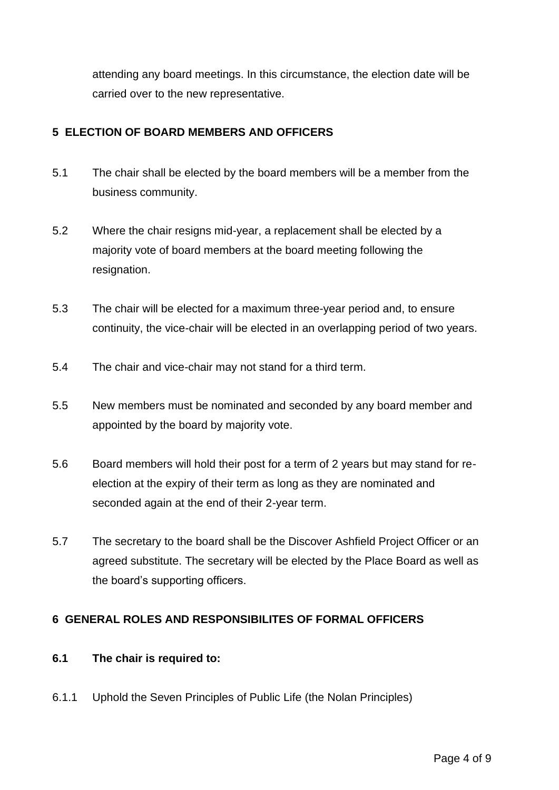attending any board meetings. In this circumstance, the election date will be carried over to the new representative.

## **5 ELECTION OF BOARD MEMBERS AND OFFICERS**

- 5.1 The chair shall be elected by the board members will be a member from the business community.
- 5.2 Where the chair resigns mid-year, a replacement shall be elected by a majority vote of board members at the board meeting following the resignation.
- 5.3 The chair will be elected for a maximum three-year period and, to ensure continuity, the vice-chair will be elected in an overlapping period of two years.
- 5.4 The chair and vice-chair may not stand for a third term.
- 5.5 New members must be nominated and seconded by any board member and appointed by the board by majority vote.
- 5.6 Board members will hold their post for a term of 2 years but may stand for reelection at the expiry of their term as long as they are nominated and seconded again at the end of their 2-year term.
- 5.7 The secretary to the board shall be the Discover Ashfield Project Officer or an agreed substitute. The secretary will be elected by the Place Board as well as the board's supporting officers.

### **6 GENERAL ROLES AND RESPONSIBILITES OF FORMAL OFFICERS**

### **6.1 The chair is required to:**

6.1.1 Uphold the Seven Principles of Public Life (the Nolan Principles)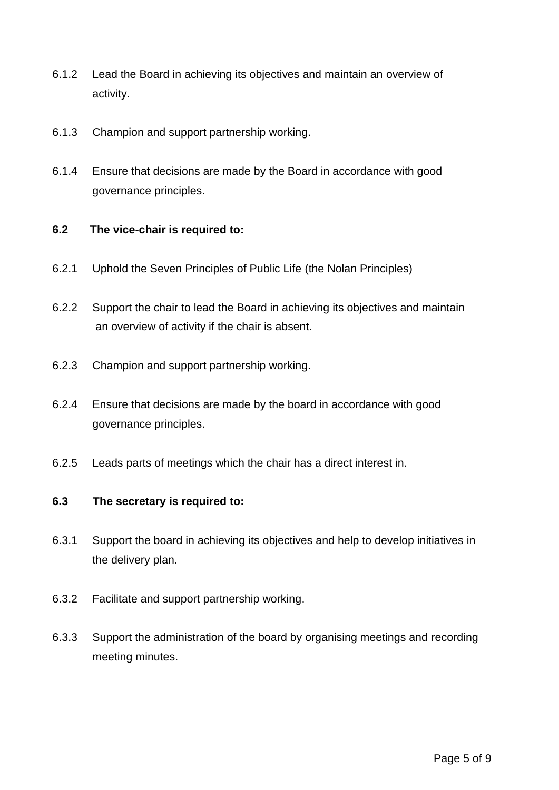- 6.1.2 Lead the Board in achieving its objectives and maintain an overview of activity.
- 6.1.3 Champion and support partnership working.
- 6.1.4 Ensure that decisions are made by the Board in accordance with good governance principles.

#### **6.2 The vice-chair is required to:**

- 6.2.1 Uphold the Seven Principles of Public Life [\(the Nolan Principles\)](https://www.gov.uk/government/publications/the-7-principles-of-public-life/the-7-principles-of-public-life--2)
- 6.2.2 Support the chair to lead the Board in achieving its objectives and maintain an overview of activity if the chair is absent.
- 6.2.3 Champion and support partnership working.
- 6.2.4 Ensure that decisions are made by the board in accordance with good governance principles.
- 6.2.5 Leads parts of meetings which the chair has a direct interest in.

### **6.3 The secretary is required to:**

- 6.3.1 Support the board in achieving its objectives and help to develop initiatives in the delivery plan.
- 6.3.2 Facilitate and support partnership working.
- 6.3.3 Support the administration of the board by organising meetings and recording meeting minutes.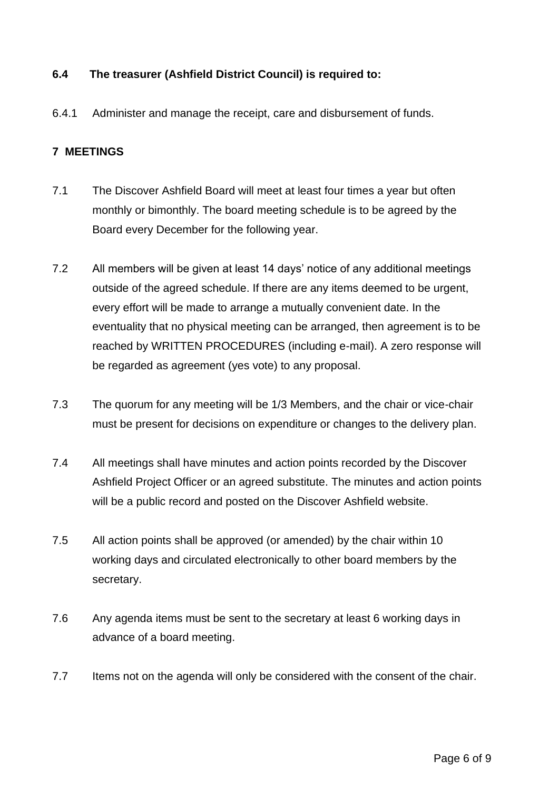### **6.4 The treasurer (Ashfield District Council) is required to:**

6.4.1 Administer and manage the receipt, care and disbursement of funds.

### **7 MEETINGS**

- 7.1 The Discover Ashfield Board will meet at least four times a year but often monthly or bimonthly. The board meeting schedule is to be agreed by the Board every December for the following year.
- 7.2 All members will be given at least 14 days' notice of any additional meetings outside of the agreed schedule. If there are any items deemed to be urgent, every effort will be made to arrange a mutually convenient date. In the eventuality that no physical meeting can be arranged, then agreement is to be reached by WRITTEN PROCEDURES (including e-mail). A zero response will be regarded as agreement (yes vote) to any proposal.
- 7.3 The quorum for any meeting will be 1/3 Members, and the chair or vice-chair must be present for decisions on expenditure or changes to the delivery plan.
- 7.4 All meetings shall have minutes and action points recorded by the Discover Ashfield Project Officer or an agreed substitute. The minutes and action points will be a public record and posted on the Discover Ashfield website.
- 7.5 All action points shall be approved (or amended) by the chair within 10 working days and circulated electronically to other board members by the secretary.
- 7.6 Any agenda items must be sent to the secretary at least 6 working days in advance of a board meeting.
- 7.7 Items not on the agenda will only be considered with the consent of the chair.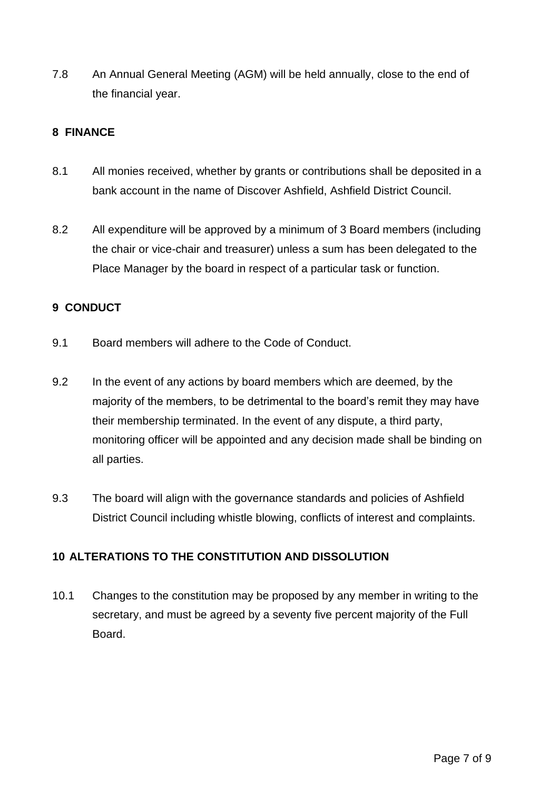7.8 An Annual General Meeting (AGM) will be held annually, close to the end of the financial year.

### **8 FINANCE**

- 8.1 All monies received, whether by grants or contributions shall be deposited in a bank account in the name of Discover Ashfield, Ashfield District Council.
- 8.2 All expenditure will be approved by a minimum of 3 Board members (including the chair or vice-chair and treasurer) unless a sum has been delegated to the Place Manager by the board in respect of a particular task or function.

## **9 CONDUCT**

- 9.1 Board members will adhere to the Code of Conduct.
- 9.2 In the event of any actions by board members which are deemed, by the majority of the members, to be detrimental to the board's remit they may have their membership terminated. In the event of any dispute, a third party, monitoring officer will be appointed and any decision made shall be binding on all parties.
- 9.3 The board will align with the governance standards and policies of Ashfield District Council including whistle blowing, conflicts of interest and complaints.

# **10 ALTERATIONS TO THE CONSTITUTION AND DISSOLUTION**

10.1 Changes to the constitution may be proposed by any member in writing to the secretary, and must be agreed by a seventy five percent majority of the Full Board.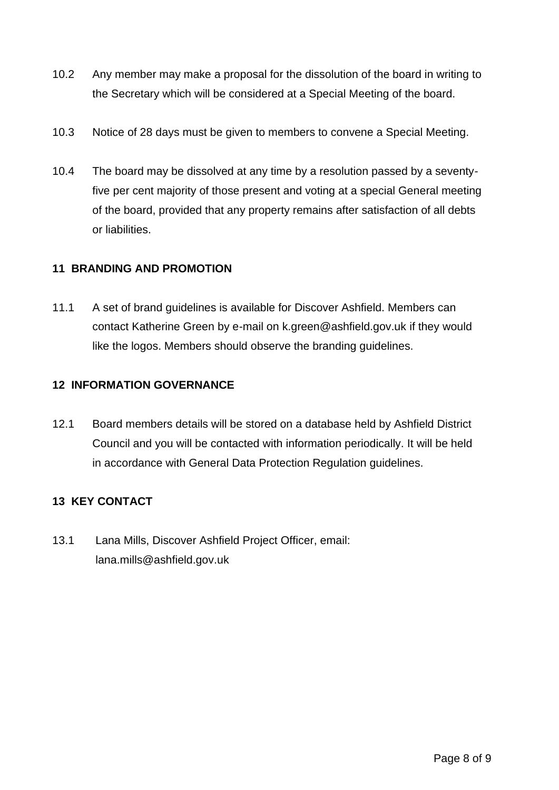- 10.2 Any member may make a proposal for the dissolution of the board in writing to the Secretary which will be considered at a Special Meeting of the board.
- 10.3 Notice of 28 days must be given to members to convene a Special Meeting.
- 10.4 The board may be dissolved at any time by a resolution passed by a seventyfive per cent majority of those present and voting at a special General meeting of the board, provided that any property remains after satisfaction of all debts or liabilities.

### **11 BRANDING AND PROMOTION**

11.1 A set of brand guidelines is available for Discover Ashfield. Members can contact Katherine Green by e-mail on k.green@ashfield.gov.uk if they would like the logos. Members should observe the branding guidelines.

### **12 INFORMATION GOVERNANCE**

12.1 Board members details will be stored on a database held by Ashfield District Council and you will be contacted with information periodically. It will be held in accordance with General Data Protection Regulation guidelines.

# **13 KEY CONTACT**

13.1 Lana Mills, Discover Ashfield Project Officer, email: lana.mills@ashfield.gov.uk